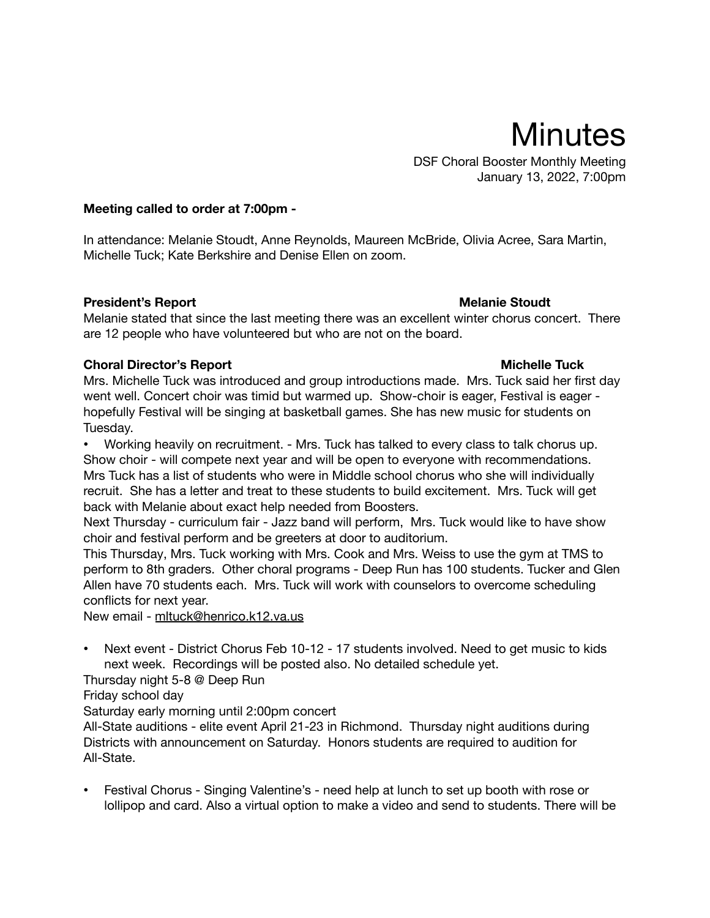# **Minutes**

DSF Choral Booster Monthly Meeting January 13, 2022, 7:00pm

### **Meeting called to order at 7:00pm -**

In attendance: Melanie Stoudt, Anne Reynolds, Maureen McBride, Olivia Acree, Sara Martin, Michelle Tuck; Kate Berkshire and Denise Ellen on zoom.

### **President's Report Melanie Stoudt**

Melanie stated that since the last meeting there was an excellent winter chorus concert. There are 12 people who have volunteered but who are not on the board.

### **Choral Director's Report Michelle Tuck**

Mrs. Michelle Tuck was introduced and group introductions made. Mrs. Tuck said her first day went well. Concert choir was timid but warmed up. Show-choir is eager, Festival is eager hopefully Festival will be singing at basketball games. She has new music for students on Tuesday.

• Working heavily on recruitment. - Mrs. Tuck has talked to every class to talk chorus up. Show choir - will compete next year and will be open to everyone with recommendations. Mrs Tuck has a list of students who were in Middle school chorus who she will individually recruit. She has a letter and treat to these students to build excitement. Mrs. Tuck will get back with Melanie about exact help needed from Boosters.

Next Thursday - curriculum fair - Jazz band will perform, Mrs. Tuck would like to have show choir and festival perform and be greeters at door to auditorium.

This Thursday, Mrs. Tuck working with Mrs. Cook and Mrs. Weiss to use the gym at TMS to perform to 8th graders. Other choral programs - Deep Run has 100 students. Tucker and Glen Allen have 70 students each. Mrs. Tuck will work with counselors to overcome scheduling conflicts for next year.

New email - [mltuck@henrico.k12.va.us](mailto:mltuck@henrico.k12.va.us)

• Next event - District Chorus Feb 10-12 - 17 students involved. Need to get music to kids next week. Recordings will be posted also. No detailed schedule yet.

Thursday night 5-8 @ Deep Run

Friday school day

Saturday early morning until 2:00pm concert

All-State auditions - elite event April 21-23 in Richmond. Thursday night auditions during Districts with announcement on Saturday. Honors students are required to audition for All-State.

• Festival Chorus - Singing Valentine's - need help at lunch to set up booth with rose or lollipop and card. Also a virtual option to make a video and send to students. There will be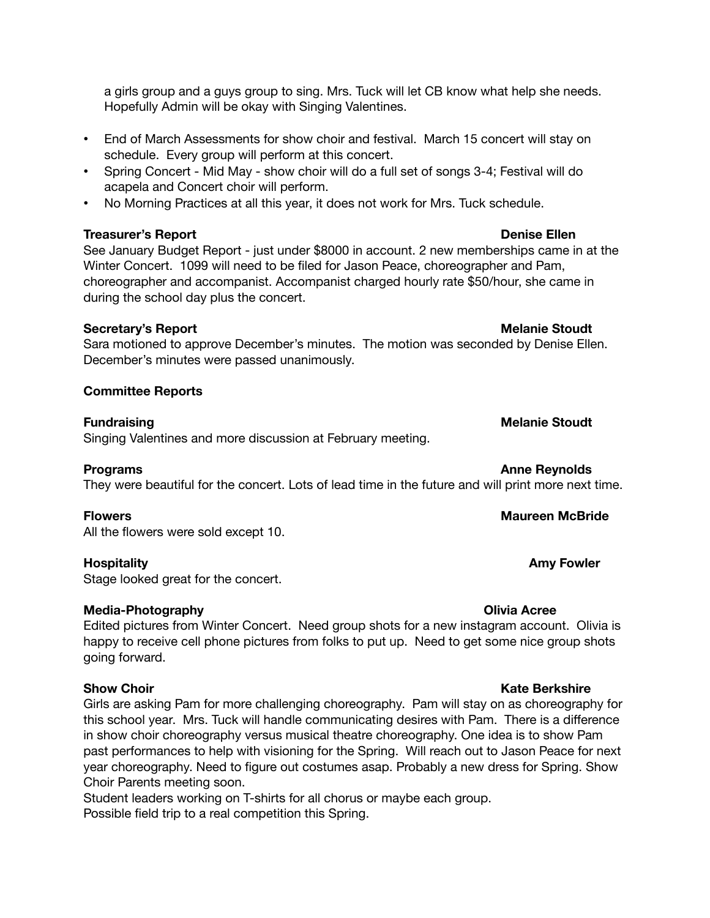a girls group and a guys group to sing. Mrs. Tuck will let CB know what help she needs. Hopefully Admin will be okay with Singing Valentines.

- End of March Assessments for show choir and festival. March 15 concert will stay on schedule. Every group will perform at this concert.
- Spring Concert Mid May show choir will do a full set of songs 3-4; Festival will do acapela and Concert choir will perform.
- No Morning Practices at all this year, it does not work for Mrs. Tuck schedule.

### **Treasurer's Report Denise Ellen**

See January Budget Report - just under \$8000 in account. 2 new memberships came in at the Winter Concert. 1099 will need to be filed for Jason Peace, choreographer and Pam, choreographer and accompanist. Accompanist charged hourly rate \$50/hour, she came in during the school day plus the concert.

# **Secretary's Report Melanie Stoudt**

Sara motioned to approve December's minutes. The motion was seconded by Denise Ellen. December's minutes were passed unanimously.

# **Committee Reports**

### **Fundraising Melanie Stoudt**

Singing Valentines and more discussion at February meeting.

They were beautiful for the concert. Lots of lead time in the future and will print more next time.

All the flowers were sold except 10.

# **Hospitality Amy Fowler**

Stage looked great for the concert.

# **Media-Photography Olivia Acree**

Edited pictures from Winter Concert. Need group shots for a new instagram account. Olivia is happy to receive cell phone pictures from folks to put up. Need to get some nice group shots going forward.

Girls are asking Pam for more challenging choreography. Pam will stay on as choreography for this school year. Mrs. Tuck will handle communicating desires with Pam. There is a difference in show choir choreography versus musical theatre choreography. One idea is to show Pam past performances to help with visioning for the Spring. Will reach out to Jason Peace for next year choreography. Need to figure out costumes asap. Probably a new dress for Spring. Show Choir Parents meeting soon.

Student leaders working on T-shirts for all chorus or maybe each group. Possible field trip to a real competition this Spring.

### **Show Choir Kate Berkshire**

### **Flowers Maureen McBride**

**Programs Anne Reynolds**